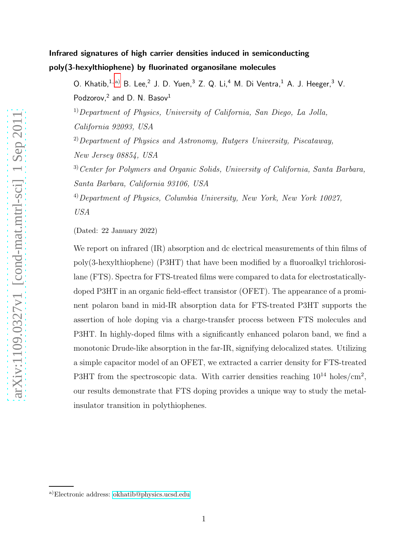# Infrared signatures of high carrier densities induced in semiconducting poly(3-hexylthiophene) by fluorinated organosilane molecules

O. Khatib,  $1, a)$  $1, a)$  B. Lee,  $2$  J. D. Yuen,  $3$  Z. Q. Li,  $4$  M. Di Ventra,  $1$  A. J. Heeger,  $3$  V. Podzorov, $2$  and D. N. Basov $1$ 

 $1)$ Department of Physics, University of California, San Diego, La Jolla, California 92093, USA

 $^{2)}$ Department of Physics and Astronomy, Rutgers University, Piscataway, New Jersey 08854, USA

 $3)$  Center for Polymers and Organic Solids, University of California, Santa Barbara, Santa Barbara, California 93106, USA

<sup>4)</sup>Department of Physics, Columbia University, New York, New York 10027, USA

(Dated: 22 January 2022)

We report on infrared (IR) absorption and dc electrical measurements of thin films of poly(3-hexylthiophene) (P3HT) that have been modified by a fluoroalkyl trichlorosilane (FTS). Spectra for FTS-treated films were compared to data for electrostaticallydoped P3HT in an organic field-effect transistor (OFET). The appearance of a prominent polaron band in mid-IR absorption data for FTS-treated P3HT supports the assertion of hole doping via a charge-transfer process between FTS molecules and P3HT. In highly-doped films with a significantly enhanced polaron band, we find a monotonic Drude-like absorption in the far-IR, signifying delocalized states. Utilizing a simple capacitor model of an OFET, we extracted a carrier density for FTS-treated P3HT from the spectroscopic data. With carrier densities reaching  $10^{14}$  holes/cm<sup>2</sup>, our results demonstrate that FTS doping provides a unique way to study the metalinsulator transition in polythiophenes.

<span id="page-0-0"></span>a)Electronic address: [okhatib@physics.ucsd.edu](mailto:okhatib@physics.ucsd.edu)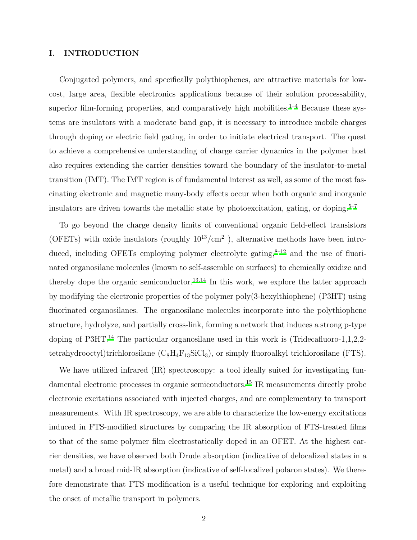## I. INTRODUCTION

Conjugated polymers, and specifically polythiophenes, are attractive materials for lowcost, large area, flexible electronics applications because of their solution processability, superior film-forming properties, and comparatively high mobilities.<sup>[1](#page-12-0)[–4](#page-13-0)</sup> Because these systems are insulators with a moderate band gap, it is necessary to introduce mobile charges through doping or electric field gating, in order to initiate electrical transport. The quest to achieve a comprehensive understanding of charge carrier dynamics in the polymer host also requires extending the carrier densities toward the boundary of the insulator-to-metal transition (IMT). The IMT region is of fundamental interest as well, as some of the most fascinating electronic and magnetic many-body effects occur when both organic and inorganic insulators are driven towards the metallic state by photoexcitation, gating, or doping.<sup>[5](#page-13-1)[–7](#page-13-2)</sup>

To go beyond the charge density limits of conventional organic field-effect transistors (OFETs) with oxide insulators (roughly  $10^{13}/\text{cm}^2$ ), alternative methods have been introduced, including OFETs employing polymer electrolyte gating, $8-12$  $8-12$  and the use of fluorinated organosilane molecules (known to self-assemble on surfaces) to chemically oxidize and thereby dope the organic semiconductor.<sup>[13](#page-13-5)[,14](#page-13-6)</sup> In this work, we explore the latter approach by modifying the electronic properties of the polymer poly(3-hexylthiophene) (P3HT) using fluorinated organosilanes. The organosilane molecules incorporate into the polythiophene structure, hydrolyze, and partially cross-link, forming a network that induces a strong p-type doping of P3HT.<sup>[14](#page-13-6)</sup> The particular organosilane used in this work is (Tridecafluoro-1,1,2,2tetrahydrooctyl)trichlorosilane  $(C_8H_4F_{13}SiCl_3)$ , or simply fluoroalkyl trichlorosilane (FTS).

We have utilized infrared  $(IR)$  spectroscopy: a tool ideally suited for investigating fundamental electronic processes in organic semiconductors.[15](#page-13-7) IR measurements directly probe electronic excitations associated with injected charges, and are complementary to transport measurements. With IR spectroscopy, we are able to characterize the low-energy excitations induced in FTS-modified structures by comparing the IR absorption of FTS-treated films to that of the same polymer film electrostatically doped in an OFET. At the highest carrier densities, we have observed both Drude absorption (indicative of delocalized states in a metal) and a broad mid-IR absorption (indicative of self-localized polaron states). We therefore demonstrate that FTS modification is a useful technique for exploring and exploiting the onset of metallic transport in polymers.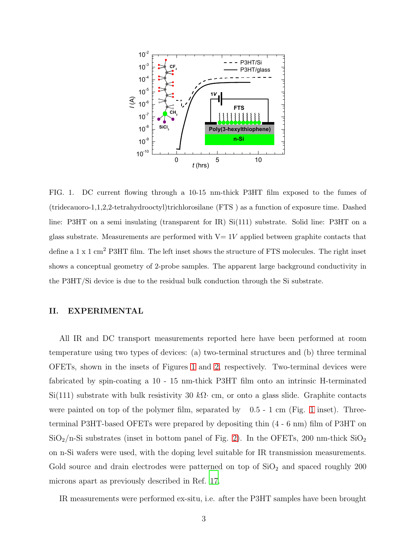

<span id="page-2-0"></span>FIG. 1. DC current flowing through a 10-15 nm-thick P3HT film exposed to the fumes of (tridecauoro-1,1,2,2-tetrahydrooctyl)trichlorosilane (FTS ) as a function of exposure time. Dashed line: P3HT on a semi insulating (transparent for IR) Si(111) substrate. Solid line: P3HT on a glass substrate. Measurements are performed with  $V=1V$  applied between graphite contacts that define a 1 x 1 cm<sup>2</sup> P3HT film. The left inset shows the structure of FTS molecules. The right inset shows a conceptual geometry of 2-probe samples. The apparent large background conductivity in the P3HT/Si device is due to the residual bulk conduction through the Si substrate.

## II. EXPERIMENTAL

All IR and DC transport measurements reported here have been performed at room temperature using two types of devices: (a) two-terminal structures and (b) three terminal OFETs, shown in the insets of Figures [1](#page-2-0) and [2,](#page-4-0) respectively. Two-terminal devices were fabricated by spin-coating a 10 - 15 nm-thick P3HT film onto an intrinsic H-terminated  $\mathrm{Si}(111)$  substrate with bulk resistivity 30 kΩ· cm, or onto a glass slide. Graphite contacts were painted on top of the polymer film, separated by  $0.5 - 1$  $0.5 - 1$  cm (Fig. 1 inset). Threeterminal P3HT-based OFETs were prepared by depositing thin (4 - 6 nm) film of P3HT on  $\rm SiO_2/n\text{-}Si$  substrates (inset in bottom panel of Fig. [2\)](#page-4-0). In the OFETs, 200 nm-thick  $\rm SiO_2$ on n-Si wafers were used, with the doping level suitable for IR transmission measurements. Gold source and drain electrodes were patterned on top of  $SiO<sub>2</sub>$  and spaced roughly 200 microns apart as previously described in Ref. [17](#page-13-8).

IR measurements were performed ex-situ, i.e. after the P3HT samples have been brought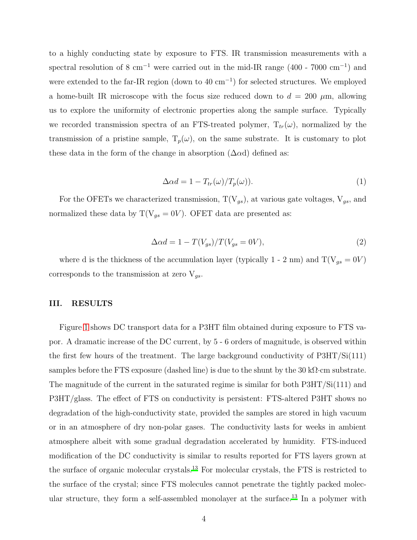to a highly conducting state by exposure to FTS. IR transmission measurements with a spectral resolution of 8 cm<sup>-1</sup> were carried out in the mid-IR range  $(400 - 7000 \text{ cm}^{-1})$  and were extended to the far-IR region (down to 40 cm<sup>-1</sup>) for selected structures. We employed a home-built IR microscope with the focus size reduced down to  $d = 200 \mu m$ , allowing us to explore the uniformity of electronic properties along the sample surface. Typically we recorded transmission spectra of an FTS-treated polymer,  $T_{tr}(\omega)$ , normalized by the transmission of a pristine sample,  $T_p(\omega)$ , on the same substrate. It is customary to plot these data in the form of the change in absorption  $(\Delta \alpha d)$  defined as:

$$
\Delta \alpha d = 1 - T_{tr}(\omega) / T_p(\omega)).
$$
\n(1)

For the OFETs we characterized transmission,  $T(V_{gs})$ , at various gate voltages,  $V_{gs}$ , and normalized these data by  $T(V_{gs} = 0V)$ . OFET data are presented as:

$$
\Delta \alpha d = 1 - T(V_{gs})/T(V_{gs} = 0V),\tag{2}
$$

where d is the thickness of the accumulation layer (typically 1 - 2 nm) and  $T(V_{gs} = 0V)$ corresponds to the transmission at zero  $V_{gs}$ .

## III. RESULTS

Figure [1](#page-2-0) shows DC transport data for a P3HT film obtained during exposure to FTS vapor. A dramatic increase of the DC current, by 5 - 6 orders of magnitude, is observed within the first few hours of the treatment. The large background conductivity of P3HT/Si(111) samples before the FTS exposure (dashed line) is due to the shunt by the 30 k $\Omega$ ·cm substrate. The magnitude of the current in the saturated regime is similar for both  $P3HT/Si(111)$  and P3HT/glass. The effect of FTS on conductivity is persistent: FTS-altered P3HT shows no degradation of the high-conductivity state, provided the samples are stored in high vacuum or in an atmosphere of dry non-polar gases. The conductivity lasts for weeks in ambient atmosphere albeit with some gradual degradation accelerated by humidity. FTS-induced modification of the DC conductivity is similar to results reported for FTS layers grown at the surface of organic molecular crystals.[13](#page-13-5) For molecular crystals, the FTS is restricted to the surface of the crystal; since FTS molecules cannot penetrate the tightly packed molecular structure, they form a self-assembled monolayer at the surface.[13](#page-13-5) In a polymer with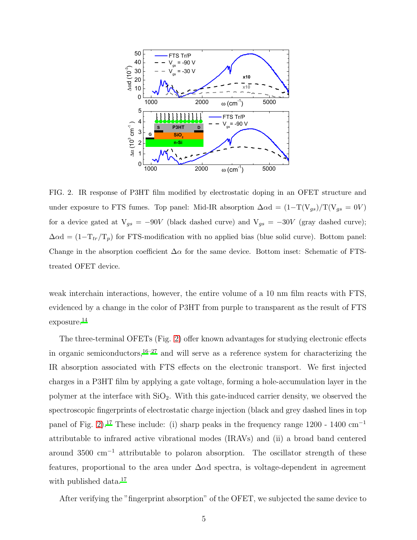

<span id="page-4-0"></span>FIG. 2. IR response of P3HT film modified by electrostatic doping in an OFET structure and under exposure to FTS fumes. Top panel: Mid-IR absorption  $\Delta \alpha d = (1-T(V_{gs})/T(V_{gs} = 0V)$ for a device gated at  $V_{gs} = -90V$  (black dashed curve) and  $V_{gs} = -30V$  (gray dashed curve);  $\Delta \alpha d = (1 - T_{tr}/T_p)$  for FTS-modification with no applied bias (blue solid curve). Bottom panel: Change in the absorption coefficient  $\Delta \alpha$  for the same device. Bottom inset: Schematic of FTStreated OFET device.

weak interchain interactions, however, the entire volume of a 10 nm film reacts with FTS, evidenced by a change in the color of P3HT from purple to transparent as the result of FTS exposure.[14](#page-13-6)

The three-terminal OFETs (Fig. [2\)](#page-4-0) offer known advantages for studying electronic effects in organic semiconductors, $16-27$  $16-27$  and will serve as a reference system for characterizing the IR absorption associated with FTS effects on the electronic transport. We first injected charges in a P3HT film by applying a gate voltage, forming a hole-accumulation layer in the polymer at the interface with  $SiO<sub>2</sub>$ . With this gate-induced carrier density, we observed the spectroscopic fingerprints of electrostatic charge injection (black and grey dashed lines in top panel of Fig. [2\)](#page-4-0).<sup>[17](#page-13-8)</sup> These include: (i) sharp peaks in the frequency range 1200 - 1400 cm<sup>-1</sup> attributable to infrared active vibrational modes (IRAVs) and (ii) a broad band centered around 3500 cm<sup>−</sup><sup>1</sup> attributable to polaron absorption. The oscillator strength of these features, proportional to the area under  $\Delta \alpha d$  spectra, is voltage-dependent in agreement with published data.<sup>[17](#page-13-8)</sup>

After verifying the "fingerprint absorption" of the OFET, we subjected the same device to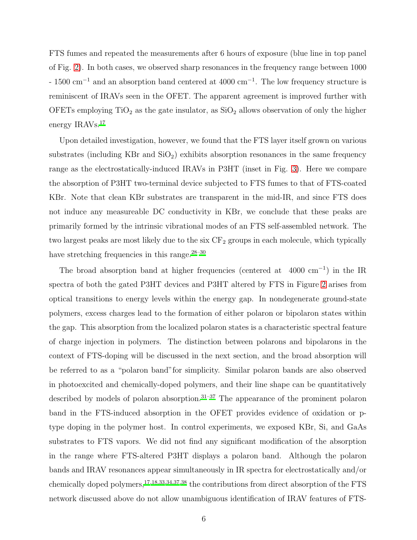FTS fumes and repeated the measurements after 6 hours of exposure (blue line in top panel of Fig. [2\)](#page-4-0). In both cases, we observed sharp resonances in the frequency range between 1000 - 1500 cm<sup>−</sup><sup>1</sup> and an absorption band centered at 4000 cm<sup>−</sup><sup>1</sup> . The low frequency structure is reminiscent of IRAVs seen in the OFET. The apparent agreement is improved further with OFETs employing  $TiO<sub>2</sub>$  as the gate insulator, as  $SiO<sub>2</sub>$  allows observation of only the higher energy IRAVs.<sup>[17](#page-13-8)</sup>

Upon detailed investigation, however, we found that the FTS layer itself grown on various substrates (including KBr and  $SiO<sub>2</sub>$ ) exhibits absorption resonances in the same frequency range as the electrostatically-induced IRAVs in P3HT (inset in Fig. [3\)](#page-7-0). Here we compare the absorption of P3HT two-terminal device subjected to FTS fumes to that of FTS-coated KBr. Note that clean KBr substrates are transparent in the mid-IR, and since FTS does not induce any measureable DC conductivity in KBr, we conclude that these peaks are primarily formed by the intrinsic vibrational modes of an FTS self-assembled network. The two largest peaks are most likely due to the six  $CF<sub>2</sub>$  groups in each molecule, which typically have stretching frequencies in this range.<sup>[28](#page-14-1)[–30](#page-14-2)</sup>

The broad absorption band at higher frequencies (centered at  $4000 \text{ cm}^{-1}$ ) in the IR spectra of both the gated P3HT devices and P3HT altered by FTS in Figure [2](#page-4-0) arises from optical transitions to energy levels within the energy gap. In nondegenerate ground-state polymers, excess charges lead to the formation of either polaron or bipolaron states within the gap. This absorption from the localized polaron states is a characteristic spectral feature of charge injection in polymers. The distinction between polarons and bipolarons in the context of FTS-doping will be discussed in the next section, and the broad absorption will be referred to as a "polaron band"for simplicity. Similar polaron bands are also observed in photoexcited and chemically-doped polymers, and their line shape can be quantitatively described by models of polaron absorption.<sup>[31](#page-14-3)[–37](#page-14-4)</sup> The appearance of the prominent polaron band in the FTS-induced absorption in the OFET provides evidence of oxidation or ptype doping in the polymer host. In control experiments, we exposed KBr, Si, and GaAs substrates to FTS vapors. We did not find any significant modification of the absorption in the range where FTS-altered P3HT displays a polaron band. Although the polaron bands and IRAV resonances appear simultaneously in IR spectra for electrostatically and/or chemically doped polymers,[17](#page-13-8)[,18](#page-13-10)[,33](#page-14-5)[,34](#page-14-6)[,37](#page-14-4)[,38](#page-14-7) the contributions from direct absorption of the FTS network discussed above do not allow unambiguous identification of IRAV features of FTS-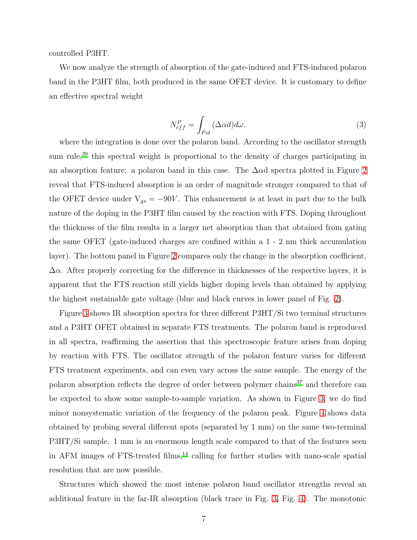controlled P3HT.

We now analyze the strength of absorption of the gate-induced and FTS-induced polaron band in the P3HT film, both produced in the same OFET device. It is customary to define an effective spectral weight

<span id="page-6-0"></span>
$$
N_{eff}^{P} = \int_{Pol} (\Delta \alpha d) d\omega, \qquad (3)
$$

where the integration is done over the polaron band. According to the oscillator strength sum rule,<sup>[39](#page-14-8)</sup> this spectral weight is proportional to the density of charges participating in an absorption feature: a polaron band in this case. The  $\Delta \alpha$ d spectra plotted in Figure [2](#page-4-0) reveal that FTS-induced absorption is an order of magnitude stronger compared to that of the OFET device under  $V_{gs} = -90V$ . This enhancement is at least in part due to the bulk nature of the doping in the P3HT film caused by the reaction with FTS. Doping throughout the thickness of the film results in a larger net absorption than that obtained from gating the same OFET (gate-induced charges are confined within a 1 - 2 nm thick accumulation layer). The bottom panel in Figure [2](#page-4-0) compares only the change in the absorption coefficient,  $\Delta \alpha$ . After properly correcting for the difference in thicknesses of the respective layers, it is apparent that the FTS reaction still yields higher doping levels than obtained by applying the highest sustainable gate voltage (blue and black curves in lower panel of Fig. [2\)](#page-4-0).

Figure [3](#page-7-0) shows IR absorption spectra for three different P3HT/Si two terminal structures and a P3HT OFET obtained in separate FTS treatments. The polaron band is reproduced in all spectra, reaffirming the assertion that this spectroscopic feature arises from doping by reaction with FTS. The oscillator strength of the polaron feature varies for different FTS treatment experiments, and can even vary across the same sample. The energy of the polaron absorption reflects the degree of order between polymer chains $37$  and therefore can be expected to show some sample-to-sample variation. As shown in Figure [3,](#page-7-0) we do find minor nonsystematic variation of the frequency of the polaron peak. Figure [4](#page-8-0) shows data obtained by probing several different spots (separated by 1 mm) on the same two-terminal P3HT/Si sample. 1 mm is an enormous length scale compared to that of the features seen in AFM images of FTS-treated films, $^{14}$  $^{14}$  $^{14}$  calling for further studies with nano-scale spatial resolution that are now possible.

Structures which showed the most intense polaron band oscillator strengths reveal an additional feature in the far-IR absorption (black trace in Fig. [3,](#page-7-0) Fig. [4\)](#page-8-0). The monotonic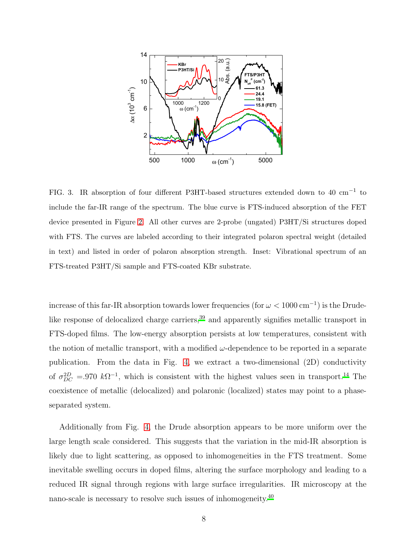

<span id="page-7-0"></span>FIG. 3. IR absorption of four different P3HT-based structures extended down to 40 cm−<sup>1</sup> to include the far-IR range of the spectrum. The blue curve is FTS-induced absorption of the FET device presented in Figure [2.](#page-4-0) All other curves are 2-probe (ungated) P3HT/Si structures doped with FTS. The curves are labeled according to their integrated polaron spectral weight (detailed in text) and listed in order of polaron absorption strength. Inset: Vibrational spectrum of an FTS-treated P3HT/Si sample and FTS-coated KBr substrate.

increase of this far-IR absorption towards lower frequencies (for  $\omega < 1000 \text{ cm}^{-1}$ ) is the Drude-like response of delocalized charge carriers,<sup>[39](#page-14-8)</sup> and apparently signifies metallic transport in FTS-doped films. The low-energy absorption persists at low temperatures, consistent with the notion of metallic transport, with a modified  $\omega$ -dependence to be reported in a separate publication. From the data in Fig. [4,](#page-8-0) we extract a two-dimensional (2D) conductivity of  $\sigma_{DC}^{2D}$  = 970 k $\Omega^{-1}$ , which is consistent with the highest values seen in transport.<sup>[14](#page-13-6)</sup> The coexistence of metallic (delocalized) and polaronic (localized) states may point to a phaseseparated system.

Additionally from Fig. [4,](#page-8-0) the Drude absorption appears to be more uniform over the large length scale considered. This suggests that the variation in the mid-IR absorption is likely due to light scattering, as opposed to inhomogeneities in the FTS treatment. Some inevitable swelling occurs in doped films, altering the surface morphology and leading to a reduced IR signal through regions with large surface irregularities. IR microscopy at the nano-scale is necessary to resolve such issues of inhomogeneity.<sup>[40](#page-14-9)</sup>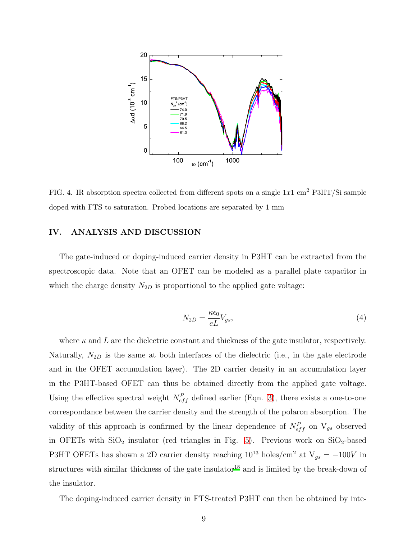

<span id="page-8-0"></span>FIG. 4. IR absorption spectra collected from different spots on a single  $1x1 \text{ cm}^2$  P3HT/Si sample doped with FTS to saturation. Probed locations are separated by 1 mm

# IV. ANALYSIS AND DISCUSSION

The gate-induced or doping-induced carrier density in P3HT can be extracted from the spectroscopic data. Note that an OFET can be modeled as a parallel plate capacitor in which the charge density  $N_{2D}$  is proportional to the applied gate voltage:

$$
N_{2D} = \frac{\kappa \epsilon_0}{eL} V_{gs},\tag{4}
$$

where  $\kappa$  and  $L$  are the dielectric constant and thickness of the gate insulator, respectively. Naturally,  $N_{2D}$  is the same at both interfaces of the dielectric (i.e., in the gate electrode and in the OFET accumulation layer). The 2D carrier density in an accumulation layer in the P3HT-based OFET can thus be obtained directly from the applied gate voltage. Using the effective spectral weight  $N_{eff}^P$  defined earlier (Eqn. [3\)](#page-6-0), there exists a one-to-one correspondance between the carrier density and the strength of the polaron absorption. The validity of this approach is confirmed by the linear dependence of  $N_{eff}^P$  on  $V_{gs}$  observed in OFETs with  $SiO<sub>2</sub>$  insulator (red triangles in Fig. [5\)](#page-9-0). Previous work on  $SiO<sub>2</sub>$ -based P3HT OFETs has shown a 2D carrier density reaching  $10^{13}$  holes/cm<sup>2</sup> at  $V_{gs} = -100V$  in structures with similar thickness of the gate insulator<sup>[18](#page-13-10)</sup> and is limited by the break-down of the insulator.

The doping-induced carrier density in FTS-treated P3HT can then be obtained by inte-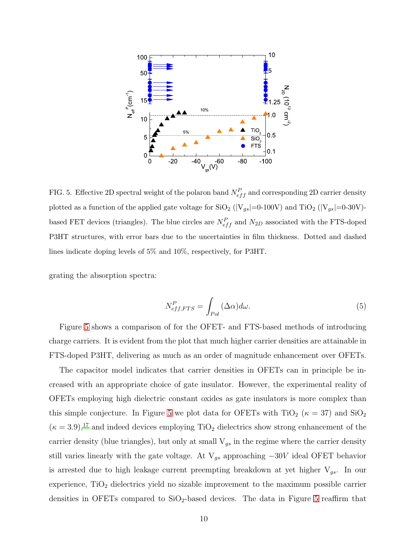

<span id="page-9-0"></span>FIG. 5. Effective 2D spectral weight of the polaron band  $N_{eff}^P$  and corresponding 2D carrier density plotted as a function of the applied gate voltage for SiO<sub>2</sub> (|V<sub>gs</sub>|=0-100V) and TiO<sub>2</sub> (|V<sub>gs</sub>|=0-30V)based FET devices (triangles). The blue circles are  $N_{eff}^{P}$  and  $N_{2D}$  associated with the FTS-doped P3HT structures, with error bars due to the uncertainties in film thickness. Dotted and dashed lines indicate doping levels of 5% and 10%, respectively, for P3HT.

grating the absorption spectra:

<span id="page-9-1"></span>
$$
N_{eff,FTS}^P = \int_{Pol} (\Delta \alpha) d\omega.
$$
 (5)

Figure [5](#page-9-0) shows a comparison of for the OFET- and FTS-based methods of introducing charge carriers. It is evident from the plot that much higher carrier densities are attainable in FTS-doped P3HT, delivering as much as an order of magnitude enhancement over OFETs.

The capacitor model indicates that carrier densities in OFETs can in principle be increased with an appropriate choice of gate insulator. However, the experimental reality of OFETs employing high dielectric constant oxides as gate insulators is more complex than this simple conjecture. In Figure [5](#page-9-0) we plot data for OFETs with TiO<sub>2</sub> ( $\kappa = 37$ ) and SiO<sub>2</sub>  $(\kappa = 3.9)$ <sup>[17](#page-13-8)</sup> and indeed devices employing TiO<sub>2</sub> dielectrics show strong enhancement of the carrier density (blue triangles), but only at small  $V_{gs}$  in the regime where the carrier density still varies linearly with the gate voltage. At  $V_{gs}$  approaching  $-30V$  ideal OFET behavior is arrested due to high leakage current preempting breakdown at yet higher  $V_{gs}$ . In our experience,  $TiO<sub>2</sub>$  dielectrics yield no sizable improvement to the maximum possible carrier densities in OFETs compared to  $SiO<sub>2</sub>$ -based devices. The data in Figure [5](#page-9-0) reaffirm that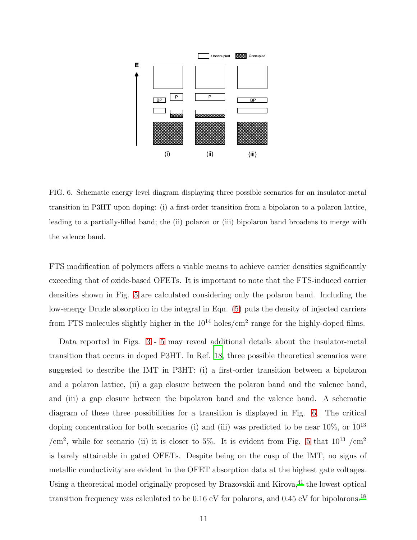

<span id="page-10-0"></span>FIG. 6. Schematic energy level diagram displaying three possible scenarios for an insulator-metal transition in P3HT upon doping: (i) a first-order transition from a bipolaron to a polaron lattice, leading to a partially-filled band; the (ii) polaron or (iii) bipolaron band broadens to merge with the valence band.

FTS modification of polymers offers a viable means to achieve carrier densities significantly exceeding that of oxide-based OFETs. It is important to note that the FTS-induced carrier densities shown in Fig. [5](#page-9-0) are calculated considering only the polaron band. Including the low-energy Drude absorption in the integral in Eqn. [\(5\)](#page-9-1) puts the density of injected carriers from FTS molecules slightly higher in the  $10^{14}$  holes/cm<sup>2</sup> range for the highly-doped films.

Data reported in Figs. [3](#page-7-0) - [5](#page-9-0) may reveal additional details about the insulator-metal transition that occurs in doped P3HT. In Ref. [18](#page-13-10), three possible theoretical scenarios were suggested to describe the IMT in P3HT: (i) a first-order transition between a bipolaron and a polaron lattice, (ii) a gap closure between the polaron band and the valence band, and (iii) a gap closure between the bipolaron band and the valence band. A schematic diagram of these three possibilities for a transition is displayed in Fig. [6.](#page-10-0) The critical doping concentration for both scenarios (i) and (iii) was predicted to be near  $10\%$ , or  $10^{13}$ /cm<sup>2</sup>, while for scenario (ii) it is closer to [5](#page-9-0)%. It is evident from Fig. 5 that  $10^{13}$  /cm<sup>2</sup> is barely attainable in gated OFETs. Despite being on the cusp of the IMT, no signs of metallic conductivity are evident in the OFET absorption data at the highest gate voltages. Using a theoretical model originally proposed by Brazovskii and Kirova,<sup>[41](#page-14-10)</sup> the lowest optical transition frequency was calculated to be  $0.16 \text{ eV}$  for polarons, and  $0.45 \text{ eV}$  for bipolarons.<sup>[18](#page-13-10)</sup>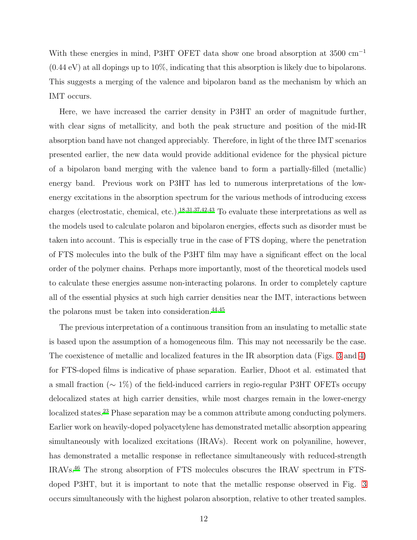With these energies in mind, P3HT OFET data show one broad absorption at 3500 cm<sup>−</sup><sup>1</sup> (0.44 eV) at all dopings up to 10%, indicating that this absorption is likely due to bipolarons. This suggests a merging of the valence and bipolaron band as the mechanism by which an IMT occurs.

Here, we have increased the carrier density in P3HT an order of magnitude further, with clear signs of metallicity, and both the peak structure and position of the mid-IR absorption band have not changed appreciably. Therefore, in light of the three IMT scenarios presented earlier, the new data would provide additional evidence for the physical picture of a bipolaron band merging with the valence band to form a partially-filled (metallic) energy band. Previous work on P3HT has led to numerous interpretations of the lowenergy excitations in the absorption spectrum for the various methods of introducing excess charges (electrostatic, chemical, etc.).[18](#page-13-10)[,31](#page-14-3)[,37](#page-14-4)[,42](#page-14-11)[,43](#page-15-0) To evaluate these interpretations as well as the models used to calculate polaron and bipolaron energies, effects such as disorder must be taken into account. This is especially true in the case of FTS doping, where the penetration of FTS molecules into the bulk of the P3HT film may have a significant effect on the local order of the polymer chains. Perhaps more importantly, most of the theoretical models used to calculate these energies assume non-interacting polarons. In order to completely capture all of the essential physics at such high carrier densities near the IMT, interactions between the polarons must be taken into consideration. $44,45$  $44,45$ 

The previous interpretation of a continuous transition from an insulating to metallic state is based upon the assumption of a homogeneous film. This may not necessarily be the case. The coexistence of metallic and localized features in the IR absorption data (Figs. [3](#page-7-0) and [4\)](#page-8-0) for FTS-doped films is indicative of phase separation. Earlier, Dhoot et al. estimated that a small fraction (∼ 1%) of the field-induced carriers in regio-regular P3HT OFETs occupy delocalized states at high carrier densities, while most charges remain in the lower-energy localized states.<sup>[23](#page-14-12)</sup> Phase separation may be a common attribute among conducting polymers. Earlier work on heavily-doped polyacetylene has demonstrated metallic absorption appearing simultaneously with localized excitations (IRAVs). Recent work on polyaniline, however, has demonstrated a metallic response in reflectance simultaneously with reduced-strength IRAVs.[46](#page-15-3) The strong absorption of FTS molecules obscures the IRAV spectrum in FTSdoped P3HT, but it is important to note that the metallic response observed in Fig. [3](#page-7-0) occurs simultaneously with the highest polaron absorption, relative to other treated samples.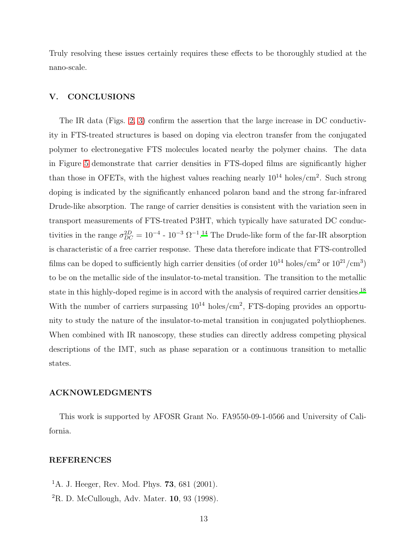Truly resolving these issues certainly requires these effects to be thoroughly studied at the nano-scale.

# V. CONCLUSIONS

The IR data (Figs. [2,](#page-4-0) [3\)](#page-7-0) confirm the assertion that the large increase in DC conductivity in FTS-treated structures is based on doping via electron transfer from the conjugated polymer to electronegative FTS molecules located nearby the polymer chains. The data in Figure [5](#page-9-0) demonstrate that carrier densities in FTS-doped films are significantly higher than those in OFETs, with the highest values reaching nearly  $10^{14}$  holes/cm<sup>2</sup>. Such strong doping is indicated by the significantly enhanced polaron band and the strong far-infrared Drude-like absorption. The range of carrier densities is consistent with the variation seen in transport measurements of FTS-treated P3HT, which typically have saturated DC conductivities in the range  $\sigma_{DC}^{2D} = 10^{-4}$  -  $10^{-3} \Omega^{-1}$ .<sup>[14](#page-13-6)</sup> The Drude-like form of the far-IR absorption is characteristic of a free carrier response. These data therefore indicate that FTS-controlled films can be doped to sufficiently high carrier densities (of order  $10^{14}$  holes/cm<sup>2</sup> or  $10^{21}/\text{cm}^3$ ) to be on the metallic side of the insulator-to-metal transition. The transition to the metallic state in this highly-doped regime is in accord with the analysis of required carrier densities.[18](#page-13-10) With the number of carriers surpassing  $10^{14}$  holes/cm<sup>2</sup>, FTS-doping provides an opportunity to study the nature of the insulator-to-metal transition in conjugated polythiophenes. When combined with IR nanoscopy, these studies can directly address competing physical descriptions of the IMT, such as phase separation or a continuous transition to metallic states.

#### ACKNOWLEDGMENTS

This work is supported by AFOSR Grant No. FA9550-09-1-0566 and University of California.

## REFERENCES

- <span id="page-12-0"></span><sup>1</sup>A. J. Heeger, Rev. Mod. Phys. **73**, 681 (2001).
- ${}^{2}R$ . D. McCullough, Adv. Mater. 10, 93 (1998).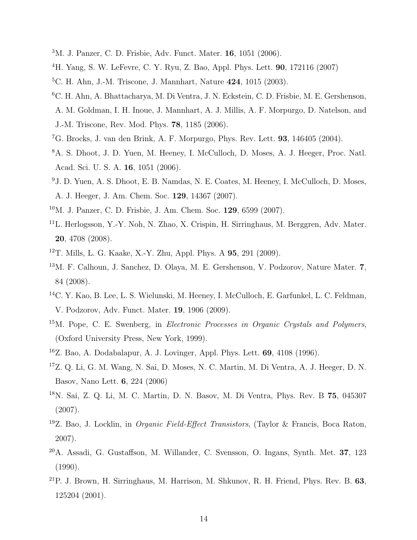- <sup>3</sup>M. J. Panzer, C. D. Frisbie, Adv. Funct. Mater. 16, 1051 (2006).
- <span id="page-13-0"></span><sup>4</sup>H. Yang, S. W. LeFevre, C. Y. Ryu, Z. Bao, Appl. Phys. Lett. 90, 172116 (2007)
- <span id="page-13-1"></span><sup>5</sup>C. H. Ahn, J.-M. Triscone, J. Mannhart, Nature 424, 1015 (2003).
- <sup>6</sup>C. H. Ahn, A. Bhattacharya, M. Di Ventra, J. N. Eckstein, C. D. Frisbie, M. E. Gershenson, A. M. Goldman, I. H. Inoue, J. Mannhart, A. J. Millis, A. F. Morpurgo, D. Natelson, and J.-M. Triscone, Rev. Mod. Phys. 78, 1185 (2006).
- <span id="page-13-2"></span><sup>7</sup>G. Brocks, J. van den Brink, A. F. Morpurgo, Phys. Rev. Lett. 93, 146405 (2004).
- <span id="page-13-3"></span><sup>8</sup>A. S. Dhoot, J. D. Yuen, M. Heeney, I. McCulloch, D. Moses, A. J. Heeger, Proc. Natl. Acad. Sci. U. S. A. 16, 1051 (2006).
- <sup>9</sup>J. D. Yuen, A. S. Dhoot, E. B. Namdas, N. E. Coates, M. Heeney, I. McCulloch, D. Moses, A. J. Heeger, J. Am. Chem. Soc. 129, 14367 (2007).
- <sup>10</sup>M. J. Panzer, C. D. Frisbie, J. Am. Chem. Soc. 129, 6599 (2007).
- <sup>11</sup>L. Herlogsson, Y.-Y. Noh, N. Zhao, X. Crispin, H. Sirringhaus, M. Berggren, Adv. Mater. 20, 4708 (2008).
- <span id="page-13-4"></span><sup>12</sup>T. Mills, L. G. Kaake, X.-Y. Zhu, Appl. Phys. A 95, 291 (2009).
- <span id="page-13-5"></span><sup>13</sup>M. F. Calhoun, J. Sanchez, D. Olaya, M. E. Gershenson, V. Podzorov, Nature Mater. 7, 84 (2008).
- <span id="page-13-6"></span><sup>14</sup>C. Y. Kao, B. Lee, L. S. Wielunski, M. Heeney, I. McCulloch, E. Garfunkel, L. C. Feldman, V. Podzorov, Adv. Funct. Mater. 19, 1906 (2009).
- <span id="page-13-7"></span> $15M$ . Pope, C. E. Swenberg, in *Electronic Processes in Organic Crystals and Polymers*, (Oxford University Press, New York, 1999).
- <span id="page-13-9"></span><sup>16</sup>Z. Bao, A. Dodabalapur, A. J. Lovinger, Appl. Phys. Lett. 69, 4108 (1996).
- <span id="page-13-8"></span><sup>17</sup>Z. Q. Li, G. M. Wang, N. Sai, D. Moses, N. C. Martin, M. Di Ventra, A. J. Heeger, D. N. Basov, Nano Lett. 6, 224 (2006)
- <span id="page-13-10"></span><sup>18</sup>N. Sai, Z. Q. Li, M. C. Martin, D. N. Basov, M. Di Ventra, Phys. Rev. B 75, 045307 (2007).
- <sup>19</sup>Z. Bao, J. Locklin, in Organic Field-Effect Transistors, (Taylor & Francis, Boca Raton, 2007).
- <sup>20</sup>A. Assadi, G. Gustaffson, M. Willander, C. Svensson, O. Ingans, Synth. Met. 37, 123 (1990).
- $21P$ . J. Brown, H. Sirringhaus, M. Harrison, M. Shkunov, R. H. Friend, Phys. Rev. B. 63, 125204 (2001).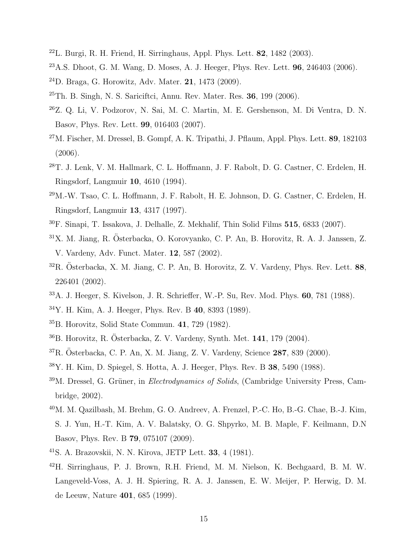- $^{22}$ L. Burgi, R. H. Friend, H. Sirringhaus, Appl. Phys. Lett. 82, 1482 (2003).
- <span id="page-14-12"></span><sup>23</sup>A.S. Dhoot, G. M. Wang, D. Moses, A. J. Heeger, Phys. Rev. Lett. 96, 246403 (2006).
- <sup>24</sup>D. Braga, G. Horowitz, Adv. Mater. 21, 1473 (2009).
- $25$ Th. B. Singh, N. S. Sariciftci, Annu. Rev. Mater. Res. 36, 199 (2006).
- <sup>26</sup>Z. Q. Li, V. Podzorov, N. Sai, M. C. Martin, M. E. Gershenson, M. Di Ventra, D. N. Basov, Phys. Rev. Lett. 99, 016403 (2007).
- <span id="page-14-0"></span><sup>27</sup>M. Fischer, M. Dressel, B. Gompf, A. K. Tripathi, J. Pflaum, Appl. Phys. Lett. 89, 182103 (2006).
- <span id="page-14-1"></span><sup>28</sup>T. J. Lenk, V. M. Hallmark, C. L. Hoffmann, J. F. Rabolt, D. G. Castner, C. Erdelen, H. Ringsdorf, Langmuir 10, 4610 (1994).
- <sup>29</sup>M.-W. Tsao, C. L. Hoffmann, J. F. Rabolt, H. E. Johnson, D. G. Castner, C. Erdelen, H. Ringsdorf, Langmuir 13, 4317 (1997).
- <span id="page-14-2"></span><sup>30</sup>F. Sinapi, T. Issakova, J. Delhalle, Z. Mekhalif, Thin Solid Films 515, 6833 (2007).
- <span id="page-14-3"></span> $31X$ . M. Jiang, R. Österbacka, O. Korovyanko, C. P. An, B. Horovitz, R. A. J. Janssen, Z. V. Vardeny, Adv. Funct. Mater. 12, 587 (2002).
- $32R$ . Österbacka, X. M. Jiang, C. P. An, B. Horovitz, Z. V. Vardeny, Phys. Rev. Lett. 88, 226401 (2002).
- <span id="page-14-5"></span><sup>33</sup>A. J. Heeger, S. Kivelson, J. R. Schrieffer, W.-P. Su, Rev. Mod. Phys. 60, 781 (1988).
- <span id="page-14-6"></span><sup>34</sup>Y. H. Kim, A. J. Heeger, Phys. Rev. B 40, 8393 (1989).
- $35B$ . Horovitz, Solid State Commun. 41, 729 (1982).
- $36B.$  Horovitz, R. Österbacka, Z. V. Vardeny, Synth. Met. 141, 179 (2004).
- <span id="page-14-4"></span> ${}^{37}R.$  Österbacka, C. P. An, X. M. Jiang, Z. V. Vardeny, Science 287, 839 (2000).
- <span id="page-14-7"></span><sup>38</sup>Y. H. Kim, D. Spiegel, S. Hotta, A. J. Heeger, Phys. Rev. B 38, 5490 (1988).
- <span id="page-14-8"></span> $39M$ . Dressel, G. Grüner, in *Electrodynamics of Solids*, (Cambridge University Press, Cambridge, 2002).
- <span id="page-14-9"></span><sup>40</sup>M. M. Qazilbash, M. Brehm, G. O. Andreev, A. Frenzel, P.-C. Ho, B.-G. Chae, B.-J. Kim, S. J. Yun, H.-T. Kim, A. V. Balatsky, O. G. Shpyrko, M. B. Maple, F. Keilmann, D.N Basov, Phys. Rev. B 79, 075107 (2009).
- <span id="page-14-10"></span><sup>41</sup>S. A. Brazovskii, N. N. Kirova, JETP Lett. 33, 4 (1981).
- <span id="page-14-11"></span><sup>42</sup>H. Sirringhaus, P. J. Brown, R.H. Friend, M. M. Nielson, K. Bechgaard, B. M. W. Langeveld-Voss, A. J. H. Spiering, R. A. J. Janssen, E. W. Meijer, P. Herwig, D. M. de Leeuw, Nature 401, 685 (1999).